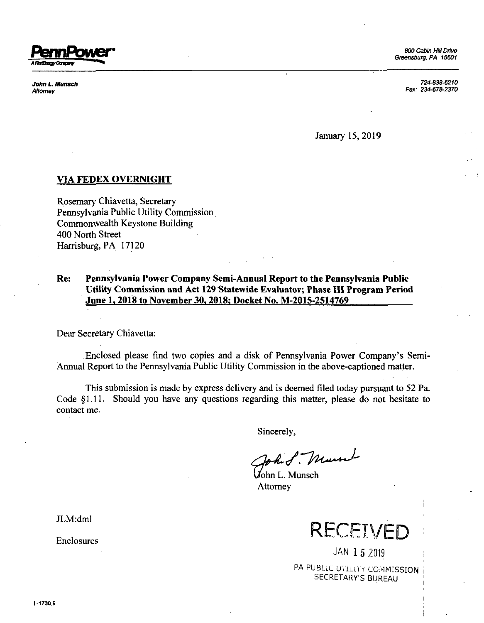

*John L. Munsch Attorney*

*724-838-6210 Fax: 234-678-2370*

January 15, 2019

## **VIA FEDEX OVERNIGHT**

Rosemary Chiavetta, Secretary Pennsylvania Public Utility Commission Commonwealth Keystone Building 400 North Street Harrisburg, PA 17120

## **Re: Pennsylvania Power Company Semi-Annual Report to the Pennsylvania Public Utility Commission and Act 129 Statewide Evaluator; Phase HI Program Period June 1.2018 to November 30.2018: Docket No. M-2015-2514769**

Dear Secretary Chiavetta:

Enclosed please find two copies and <sup>a</sup> disk of Pennsylvania Power Company's Semi-Annual Report to the Pennsylvania Public Utility Commission in the above-captioned matter.

This submission is made by express delivery and is deemed filed today pursuant to 52 Pa. Code §1.11. Should you have any questions regarding this matter, please do not hesitate to contact me.

Sincerely,

hit. Munt

John L. Munsch **Attorney** 

JLM:dml

Enclosures



JAN 15 2019

PA PUBLIC UTILITY COMMISSION SECRETARY'S BUREAU